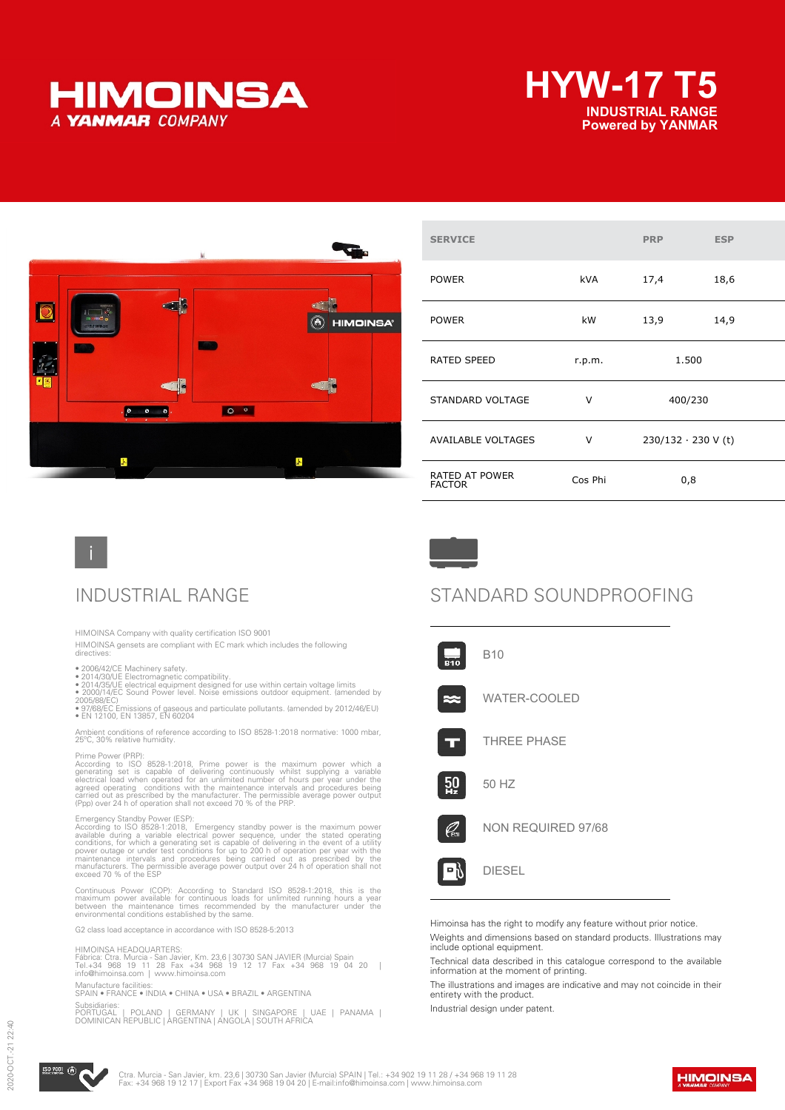





| <b>SERVICE</b>                         |            | <b>PRP</b> | <b>ESP</b>                |
|----------------------------------------|------------|------------|---------------------------|
| <b>POWER</b>                           | <b>kVA</b> | 17,4       | 18,6                      |
| <b>POWER</b>                           | kW         | 13,9       | 14,9                      |
| <b>RATED SPEED</b>                     | r.p.m.     |            | 1.500                     |
| STANDARD VOLTAGE                       | v          | 400/230    |                           |
| <b>AVAILABLE VOLTAGES</b>              | v          |            | $230/132 \cdot 230$ V (t) |
| <b>RATED AT POWER</b><br><b>FACTOR</b> | Cos Phi    |            | 0,8                       |



HIMOINSA Company with quality certification ISO 9001

HIMOINSA gensets are compliant with EC mark which includes the following directives:

- 
- 
- 2006/42/CE Machinery safety.<br>• 2014/30/UE Electromagnetic compatibility.<br>• 2014/35/UE electrical equipment designed for use within certain voltage limits<br>• 2000/14/EC Sound Power level. Noise emissions outdoor equipment.

2005/88/EC) • 97/68/EC Emissions of gaseous and particulate pollutants. (amended by 2012/46/EU) • EN 12100, EN 13857, EN 60204

Ambient conditions of reference according to ISO 8528-1:2018 normative: 1000 mbar, 25ºC, 30% relative humidity.

Prime Power (PRP):<br>According to ISO 8528-1:2018, Prime power is the maximum power which a<br>generating set is capable of delivering continuously whilst supplying a variable<br>electrical load when operated for an unlimited numb

Emergency Standby Power (ESP):<br>According to ISO 8528-1:2018, Emergency standby power is the maximum power<br>available during a variable electrical power sequence, under the stated operating<br>conditions, for which a generating

Continuous Power (COP): According to Standard ISO 8528-1:2018, this is the<br>maximum power available for continuous loads for unlimited running hours a year<br>between the maintenance times recommended by the manufacturer under

G2 class load acceptance in accordance with ISO 8528-5:2013

HIMOINSA HEADQUARTERS:<br>Fábrica: Ctra. Murcia - San Javier, Km. 23,6 | 30730 SAN JAVIER (Murcia) Spain<br>Tel.+34 968 19 11 28 Fax +34 968 19 12 17 Fax +34 968 19 04 20 |<br>info@himoinsa.com

### Manufacture facilities: SPAIN • FRANCE • INDIA • CHINA • USA • BRAZIL • ARGENTINA

Subsidiaries:<br>PORTUGAL | POLAND | GERMANY | UK | SINGAPORE | UAE | PANAMA |<br>DOMINICAN REPUBLIC | ARGENTINA | ANGOLA | SOUTH AFRICA

## INDUSTRIAL RANGE STANDARD SOUNDPROOFING



Himoinsa has the right to modify any feature without prior notice.

Weights and dimensions based on standard products. Illustrations may include optional equipment.

Technical data described in this catalogue correspond to the available information at the moment of printing.

The illustrations and images are indicative and may not coincide in their entirety with the product.

Industrial design under patent.



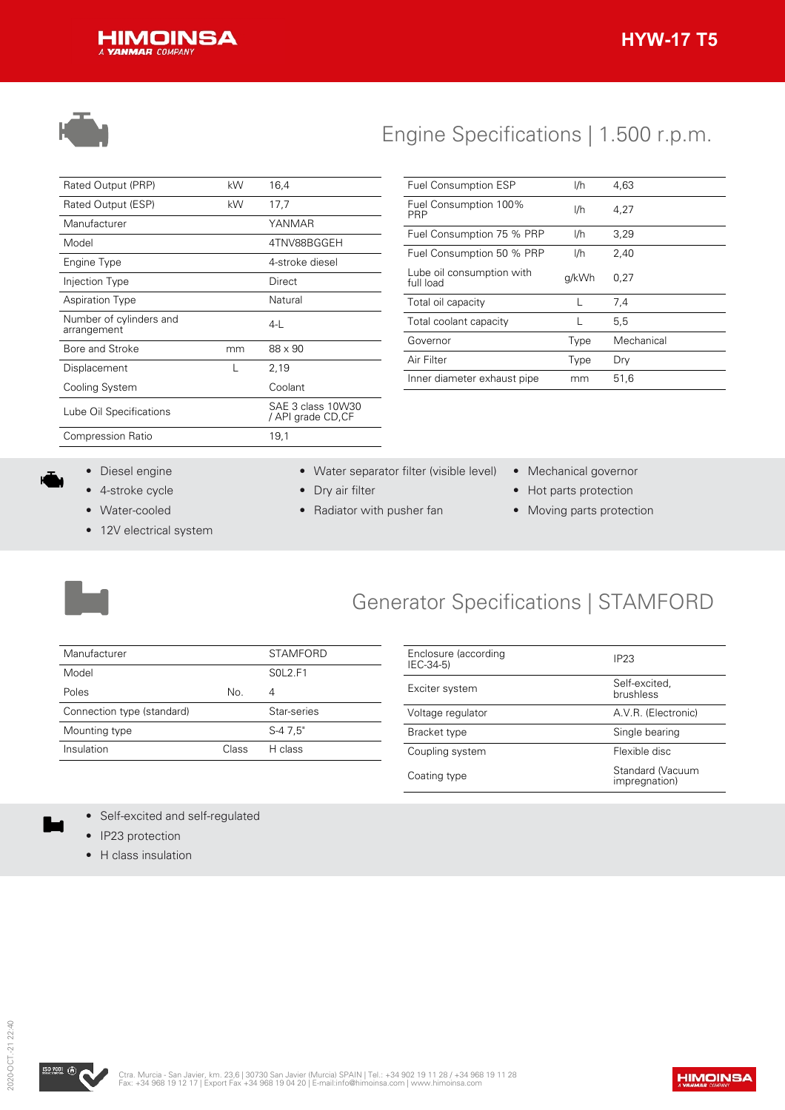



# Engine Specifications | 1.500 r.p.m.

| Rated Output (PRP)                     | kW | 16,4                                   |
|----------------------------------------|----|----------------------------------------|
| Rated Output (ESP)                     | kW | 17,7                                   |
| Manufacturer                           |    | YANMAR                                 |
| Model                                  |    | 4TNV88BGGEH                            |
| Engine Type                            |    | 4-stroke diesel                        |
| Injection Type                         |    | Direct                                 |
| <b>Aspiration Type</b>                 |    | Natural                                |
| Number of cylinders and<br>arrangement |    | 4-L                                    |
| Bore and Stroke                        | mm | 88 x 90                                |
| Displacement                           |    | 2,19                                   |
| Cooling System                         |    | Coolant                                |
| Lube Oil Specifications                |    | SAE 3 class 10W30<br>/ API grade CD,CF |
| <b>Compression Ratio</b>               |    | 19,1                                   |
|                                        |    |                                        |

| <b>Fuel Consumption ESP</b>            | I/h   | 4.63       |
|----------------------------------------|-------|------------|
| Fuel Consumption 100%<br>PRP           | I/h   | 4,27       |
| Fuel Consumption 75 % PRP              | I/h   | 3,29       |
| Fuel Consumption 50 % PRP              | I/h   | 2,40       |
| Lube oil consumption with<br>full load | g/kWh | 0.27       |
| Total oil capacity                     | L     | 7,4        |
| Total coolant capacity                 |       | 5.5        |
| Governor                               | Type  | Mechanical |
| Air Filter                             | Type  | Dry        |
| Inner diameter exhaust pipe            | mm    | 51.6       |

- Diesel engine
- 4-stroke cycle
- Water-cooled
- 12V electrical system
- Water separator filter (visible level) Mechanical governor
- Dry air filter
- Radiator with pusher fan
- 
- Hot parts protection
- Moving parts protection



# Generator Specifications | STAMFORD

| Manufacturer               |       | <b>STAMFORD</b> |
|----------------------------|-------|-----------------|
| Model                      |       | SOL2.F1         |
| Poles                      | No.   |                 |
| Connection type (standard) |       | Star-series     |
| Mounting type              |       | S-4 7.5"        |
| Insulation                 | Class | H class         |

| Enclosure (according<br>IEC-34-5) | IP <sub>23</sub>                  |
|-----------------------------------|-----------------------------------|
| Exciter system                    | Self-excited.<br>brushless        |
| Voltage regulator                 | A.V.R. (Electronic)               |
| Bracket type                      | Single bearing                    |
| Coupling system                   | Flexible disc                     |
| Coating type                      | Standard (Vacuum<br>impregnation) |

- Self-excited and self-regulated
- IP23 protection
- H class insulation

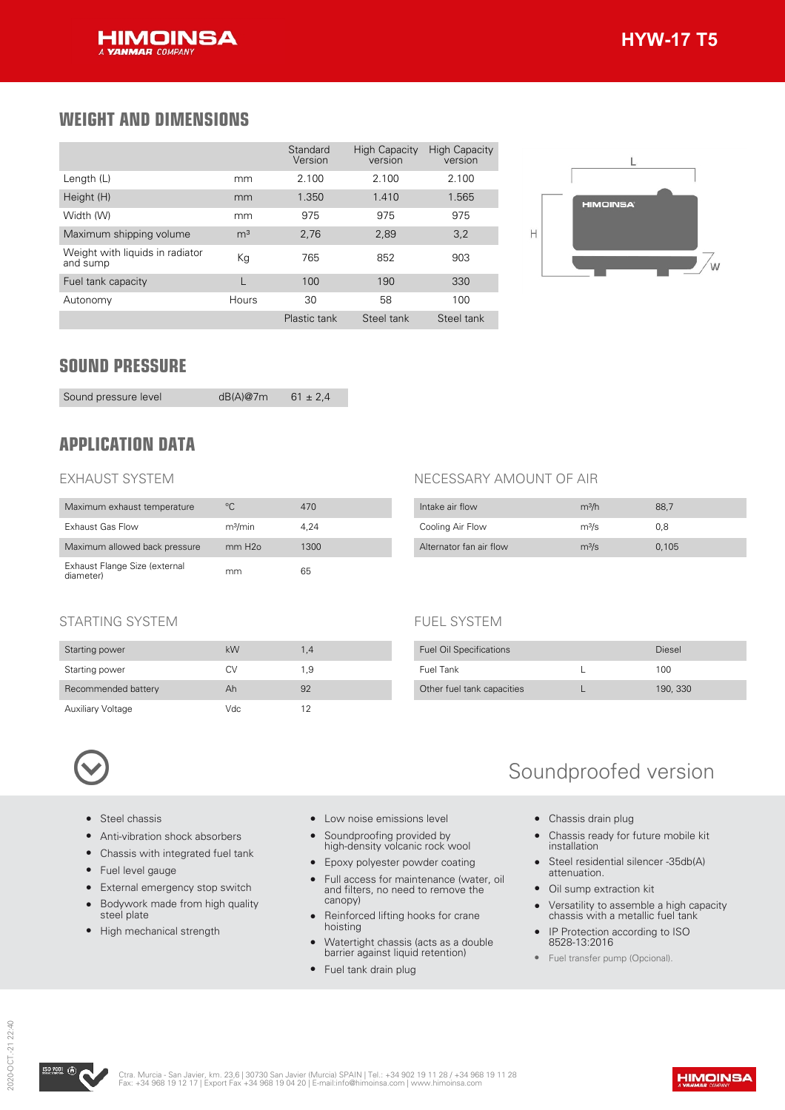## **WEIGHT AND DIMENSIONS**

|                                             |                | Standard<br>Version | <b>High Capacity</b><br>version | <b>High Capacity</b><br>version |
|---------------------------------------------|----------------|---------------------|---------------------------------|---------------------------------|
| Length (L)                                  | mm             | 2.100               | 2.100                           | 2.100                           |
| Height (H)                                  | mm             | 1.350               | 1.410                           | 1.565                           |
| Width (W)                                   | mm             | 975                 | 975                             | 975                             |
| Maximum shipping volume                     | m <sup>3</sup> | 2,76                | 2,89                            | 3,2                             |
| Weight with liquids in radiator<br>and sump | Кg             | 765                 | 852                             | 903                             |
| Fuel tank capacity                          |                | 100                 | 190                             | 330                             |
| Autonomy                                    | Hours          | 30                  | 58                              | 100                             |
|                                             |                | Plastic tank        | Steel tank                      | Steel tank                      |



## **SOUND PRESSURE**

Sound pressure level dB(A)@7m 61 ± 2,4

## **APPLICATION DATA**

### EXHAUST SYSTEM

| Maximum exhaust temperature                | °C.                 | 470  |
|--------------------------------------------|---------------------|------|
| Exhaust Gas Flow                           | m <sup>3</sup> /min | 4.24 |
| Maximum allowed back pressure              | mm H2o              | 1300 |
| Exhaust Flange Size (external<br>diameter) | mm                  | 65   |

### NECESSARY AMOUNT OF AIR

FUEL SYSTEM

| Intake air flow         | m <sup>3</sup> /h | 88.7  |
|-------------------------|-------------------|-------|
| Cooling Air Flow        | $m^3/s$           | 0.8   |
| Alternator fan air flow | m <sup>3</sup> /s | 0.105 |

Fuel Oil Specifications **Diesel** Fuel Tank L 100 Other fuel tank capacities L 190, 330

### STARTING SYSTEM

| Starting power           | kW  | 1.4 |
|--------------------------|-----|-----|
| Starting power           | CV  | 1.9 |
| Recommended battery      | Ah  | 92  |
| <b>Auxiliary Voltage</b> | Vdc | 12  |



- Steel chassis
- Anti-vibration shock absorbers
- Chassis with integrated fuel tank
- Fuel level gauge
- External emergency stop switch
- Bodywork made from high quality steel plate
- High mechanical strength
- Low noise emissions level
- Soundproofing provided by high-density volcanic rock wool
- Epoxy polyester powder coating
- Full access for maintenance (water, oil and filters, no need to remove the canopy)
- Reinforced lifting hooks for crane hoisting
- Watertight chassis (acts as a double barrier against liquid retention)
- Fuel tank drain plug

# Soundproofed version

- Chassis drain plug
- Chassis ready for future mobile kit installation
- Steel residential silencer -35db(A) attenuation.
- Oil sump extraction kit
- Versatility to assemble a high capacity chassis with a metallic fuel tank
- IP Protection according to ISO 8528-13:2016
- Fuel transfer pump (Opcional).

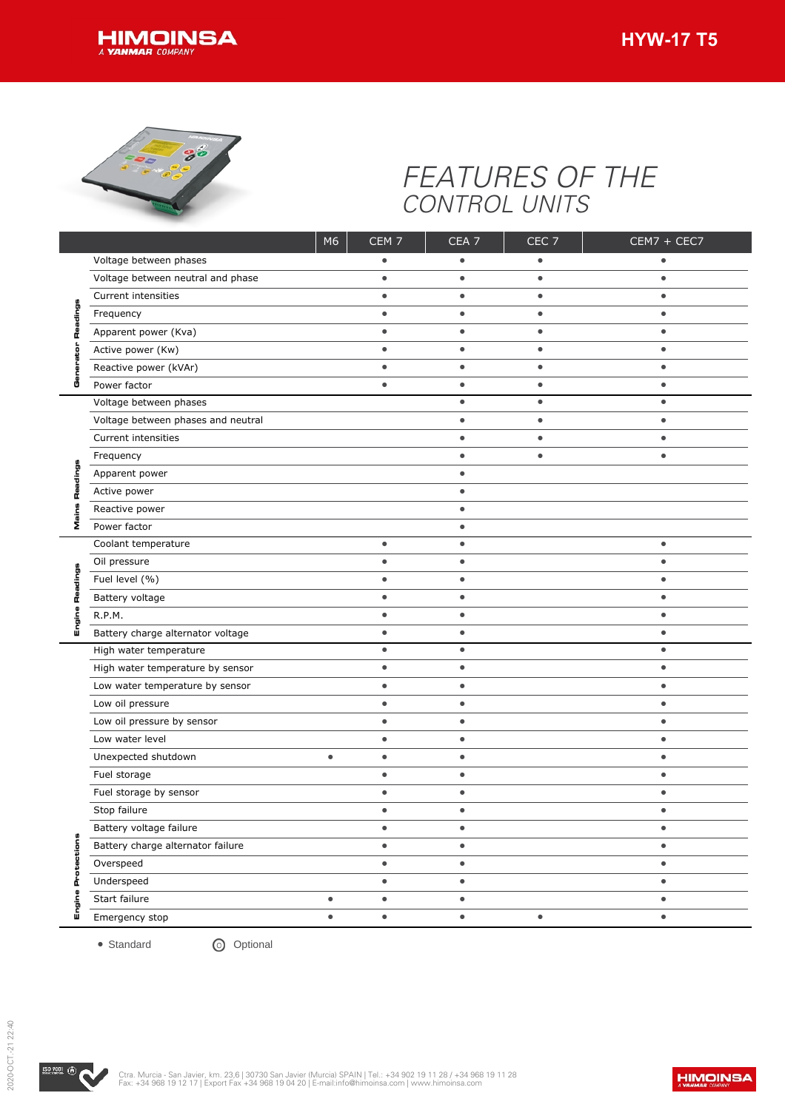



# *FEATURES OF THE CONTROL UNITS*

| Frequency<br>Power factor<br>o | Voltage between phases<br>Voltage between neutral and phase<br>Current intensities<br>Apparent power (Kva) |           | $\bullet$              | ٠                      | CEC <sub>7</sub>       | CEM7 + CEC7    |
|--------------------------------|------------------------------------------------------------------------------------------------------------|-----------|------------------------|------------------------|------------------------|----------------|
|                                |                                                                                                            |           |                        |                        |                        |                |
|                                |                                                                                                            |           | $\bullet$<br>$\bullet$ | $\bullet$<br>$\bullet$ | $\bullet$<br>$\bullet$ | ٠<br>$\bullet$ |
|                                |                                                                                                            |           | $\bullet$              | $\bullet$              | $\bullet$              | $\bullet$      |
|                                |                                                                                                            |           |                        |                        |                        |                |
|                                |                                                                                                            |           | $\bullet$              | $\bullet$              | $\bullet$              | $\bullet$      |
|                                | Active power (Kw)                                                                                          |           | $\bullet$              | $\bullet$              | $\bullet$              | $\bullet$      |
|                                | Reactive power (kVAr)                                                                                      |           | $\bullet$              | $\bullet$              | $\bullet$              | $\bullet$      |
|                                |                                                                                                            |           | $\bullet$              | $\bullet$              | $\bullet$              | $\bullet$      |
|                                | Voltage between phases                                                                                     |           |                        | $\bullet$              | $\bullet$              | $\bullet$      |
|                                | Voltage between phases and neutral                                                                         |           |                        | $\bullet$              | $\bullet$              | $\bullet$      |
|                                | Current intensities                                                                                        |           |                        | $\bullet$              | $\bullet$              | $\bullet$      |
| Frequency                      |                                                                                                            |           |                        | $\bullet$              | $\bullet$              | $\bullet$      |
|                                | Apparent power                                                                                             |           |                        | $\bullet$              |                        |                |
| п                              | Active power                                                                                               |           |                        |                        |                        |                |
|                                | Reactive power                                                                                             |           |                        | $\bullet$              |                        |                |
| Σ                              | Power factor                                                                                               |           |                        | $\bullet$              |                        |                |
|                                | Coolant temperature                                                                                        |           | $\bullet$              | $\bullet$              |                        | $\bullet$      |
| Oil pressure                   |                                                                                                            |           | $\bullet$              | $\bullet$              |                        | $\bullet$      |
| 틁                              | Fuel level (%)                                                                                             |           | $\bullet$              | $\bullet$              |                        | $\bullet$      |
|                                | Battery voltage                                                                                            |           | $\bullet$              | $\bullet$              |                        | $\bullet$      |
| R.P.M.                         |                                                                                                            |           | $\bullet$              | $\bullet$              |                        | $\bullet$      |
| ш                              | Battery charge alternator voltage                                                                          |           | $\bullet$              | $\bullet$              |                        | $\bullet$      |
|                                | High water temperature                                                                                     |           | $\bullet$              | $\bullet$              |                        | $\bullet$      |
|                                | High water temperature by sensor                                                                           |           | $\bullet$              | $\bullet$              |                        | $\bullet$      |
|                                | Low water temperature by sensor                                                                            |           | $\bullet$              | $\bullet$              |                        | $\bullet$      |
|                                | Low oil pressure                                                                                           |           | $\bullet$              | $\bullet$              |                        | $\bullet$      |
|                                | Low oil pressure by sensor                                                                                 |           | $\bullet$              | ٠                      |                        | $\bullet$      |
|                                | Low water level                                                                                            |           | $\bullet$              | $\bullet$              |                        | $\bullet$      |
|                                | Unexpected shutdown                                                                                        | $\bullet$ | $\bullet$              | $\bullet$              |                        | $\bullet$      |
|                                | Fuel storage                                                                                               |           | $\bullet$              | $\bullet$              |                        | $\bullet$      |
|                                | Fuel storage by sensor                                                                                     |           | $\bullet$              | ٠                      |                        | $\bullet$      |
| Stop failure                   |                                                                                                            |           | $\bullet$              | $\bullet$              |                        | $\bullet$      |
|                                | Battery voltage failure                                                                                    |           | $\bullet$              | $\bullet$              |                        | $\bullet$      |
| ections                        | Battery charge alternator failure                                                                          |           | $\bullet$              | $\bullet$              |                        | $\bullet$      |
| Overspeed                      |                                                                                                            |           | $\bullet$              | $\bullet$              |                        | $\bullet$      |
| o                              | Underspeed                                                                                                 |           | $\bullet$              | $\bullet$              |                        | $\bullet$      |
| ā                              |                                                                                                            | $\bullet$ | $\bullet$              | $\bullet$              |                        | $\bullet$      |
| O<br>Start failure<br>ig<br>سا |                                                                                                            | $\bullet$ | $\bullet$              | $\bullet$              | $\bullet$              | $\bullet$      |

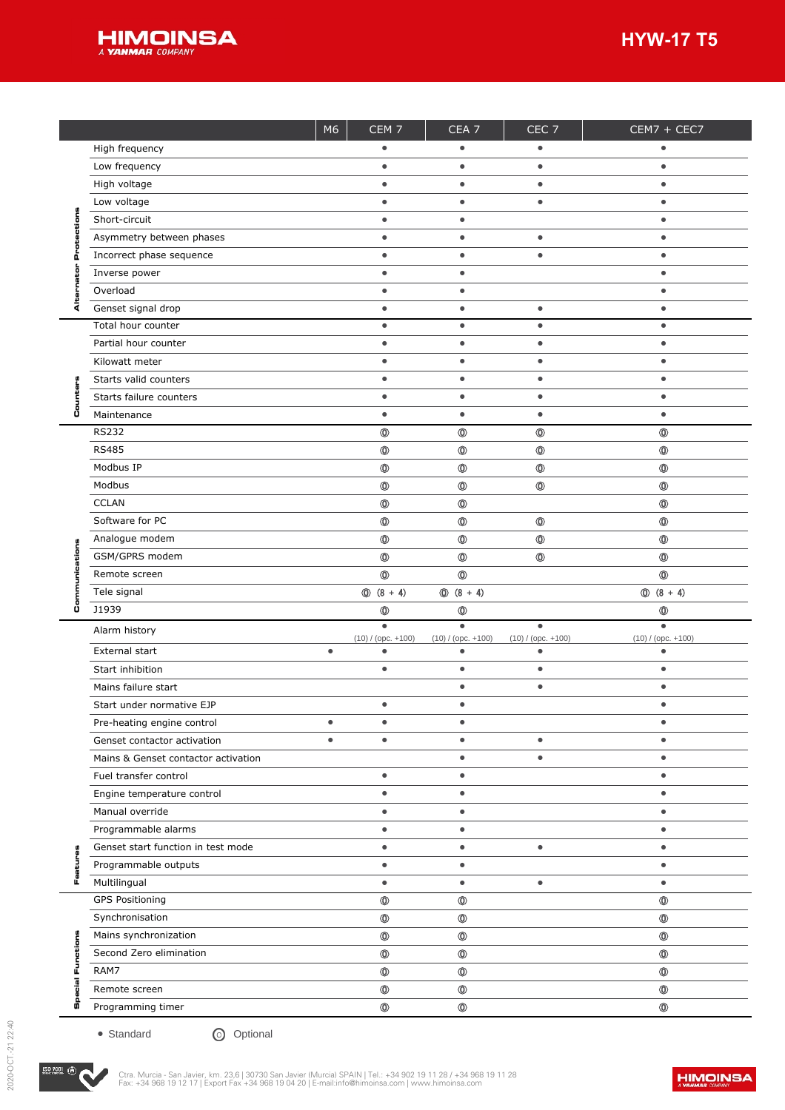

|    |                                                  | M6        | CEM <sub>7</sub>                 | CEA <sub>7</sub><br>٠            | CEC <sub>7</sub><br>$\bullet$ | CEM7 + CEC7<br>$\bullet$         |
|----|--------------------------------------------------|-----------|----------------------------------|----------------------------------|-------------------------------|----------------------------------|
|    | High frequency                                   |           |                                  |                                  |                               |                                  |
|    | Low frequency                                    |           | $\bullet$                        | $\bullet$                        | $\bullet$                     | $\bullet$                        |
|    | High voltage                                     |           | $\bullet$                        | ٠                                | $\bullet$                     | $\bullet$                        |
|    | Low voltage                                      |           | $\bullet$                        | $\bullet$                        | $\bullet$                     | $\bullet$                        |
|    | Short-circuit                                    |           | $\bullet$                        | $\bullet$                        |                               | $\bullet$                        |
|    | Asymmetry between phases                         |           | $\bullet$                        | $\bullet$                        | $\bullet$                     | $\bullet$                        |
| o. | Incorrect phase sequence                         |           | $\bullet$                        | $\bullet$                        | $\bullet$                     | $\bullet$                        |
|    | Inverse power                                    |           | $\bullet$                        | $\bullet$                        |                               | $\bullet$                        |
|    | Overload                                         |           | $\bullet$                        | $\bullet$                        |                               | $\bullet$                        |
| ⋖  | Genset signal drop                               |           | $\bullet$                        | ٠                                | $\bullet$                     | $\bullet$                        |
|    | Total hour counter                               |           | $\bullet$                        | $\bullet$                        | $\bullet$                     | $\bullet$                        |
|    | Partial hour counter                             |           | $\bullet$                        | ٠                                | $\bullet$                     | $\bullet$                        |
|    | Kilowatt meter                                   |           | $\bullet$                        | $\bullet$                        | $\bullet$                     | $\bullet$                        |
|    | Starts valid counters                            |           | $\bullet$                        | $\bullet$                        | $\bullet$                     | $\bullet$                        |
|    | Starts failure counters                          |           | $\bullet$                        | $\bullet$                        | $\bullet$                     | $\bullet$                        |
| o  | Maintenance                                      |           | $\bullet$                        | $\bullet$                        | $\bullet$                     | $\bullet$                        |
|    | <b>RS232</b>                                     |           | $\circledcirc$                   | $^\circledR$                     | $\circledcirc$                | $\circledcirc$                   |
|    | <b>RS485</b>                                     |           | $^{\circ}$                       | $^\circledR$                     | $\circledcirc$                | $\circledcirc$                   |
|    | Modbus IP                                        |           | $\circledcirc$                   | $^\circledR$                     | $\circledcirc$                | $\circledcirc$                   |
|    | Modbus                                           |           | $^{\circ}$                       | $^\circledR$                     | $\circledcirc$                | $\circledcirc$                   |
|    | <b>CCLAN</b>                                     |           | $^{\circ}$                       | $^\circledR$                     |                               | $\circledcirc$                   |
|    | Software for PC                                  |           | $^{\circ}$                       | $^\circledR$                     | $\circledcirc$                | $\circledcirc$                   |
|    | Analogue modem                                   |           | $^{\circ}$                       | $^\circledR$                     | $\circledcirc$                | $\circledcirc$                   |
|    | GSM/GPRS modem                                   |           | $^{\circ}$                       | $^\circledR$                     | $\circledcirc$                | $\circledcirc$                   |
|    | Remote screen                                    |           | $\circledcirc$                   | $\circledcirc$                   |                               | $\circledcirc$                   |
|    | Tele signal                                      |           | $\circled{0}$ (8 + 4)            | $\circled{0}$ (8 + 4)            |                               | $\circled{0}$ (8 + 4)            |
| Ü  | J1939                                            |           | $^\circledR$                     | $^\circledR$                     |                               | $\circledcirc$                   |
|    |                                                  |           | $\bullet$                        | $\bullet$                        | $\bullet$                     | $\bullet$                        |
|    | Alarm history                                    |           | $(10) / ($ opc. $+100)$          | $(10) / ($ opc. $+100)$          | $(10) / ($ opc. $+100)$       | $(10) / ($ opc. $+100)$          |
|    | External start                                   | $\bullet$ | $\bullet$                        | $\bullet$                        | $\bullet$                     | $\bullet$                        |
|    |                                                  |           | $\bullet$                        | $\bullet$                        | $\bullet$                     | $\bullet$                        |
|    | Start inhibition                                 |           |                                  |                                  |                               |                                  |
|    | Mains failure start                              |           |                                  | ٠                                | $\bullet$                     | $\bullet$                        |
|    | Start under normative EJP                        |           | $\bullet$                        | $\bullet$                        |                               | $\bullet$                        |
|    | Pre-heating engine control                       |           |                                  |                                  |                               |                                  |
|    | Genset contactor activation                      | $\bullet$ |                                  | $\bullet$                        | $\bullet$                     |                                  |
|    | Mains & Genset contactor activation              |           |                                  | $\bullet$                        | $\bullet$                     | $\bullet$                        |
|    | Fuel transfer control                            |           | $\bullet$                        | $\bullet$                        |                               | $\bullet$                        |
|    | Engine temperature control                       |           | $\bullet$                        | $\bullet$                        |                               | $\bullet$                        |
|    | Manual override                                  |           | $\bullet$                        | $\bullet$                        |                               | $\bullet$                        |
|    | Programmable alarms                              |           | $\bullet$                        | $\bullet$                        |                               | $\bullet$                        |
|    | Genset start function in test mode               |           | $\bullet$                        | $\bullet$                        | $\bullet$                     | $\bullet$                        |
|    | Programmable outputs                             |           | $\bullet$                        | $\bullet$                        |                               | $\bullet$                        |
| L. | Multilingual                                     |           | $\bullet$                        | $\bullet$                        | $\bullet$                     | $\bullet$                        |
|    | <b>GPS Positioning</b>                           |           | $\circledcirc$                   | $^\circledR$                     |                               | $\circledcirc$                   |
|    | Synchronisation                                  |           | $\circledcirc$                   | $\circledcirc$                   |                               | $\circledcirc$                   |
|    |                                                  |           |                                  |                                  |                               |                                  |
|    | Mains synchronization<br>Second Zero elimination |           | $^{\circ}$                       | $\circledcirc$                   |                               | $\circledcirc$                   |
| щ  |                                                  |           | $^{\circ}$                       | $\circledcirc$                   |                               | $\circledcirc$                   |
|    | RAM7                                             |           | $\circledcirc$                   | $\circledcirc$                   |                               | $\circledcirc$                   |
| U) | Remote screen<br>Programming timer               |           | $\circledcirc$<br>$\circledcirc$ | $\circledcirc$<br>$\circledcirc$ |                               | $\circledcirc$<br>$\circledcirc$ |